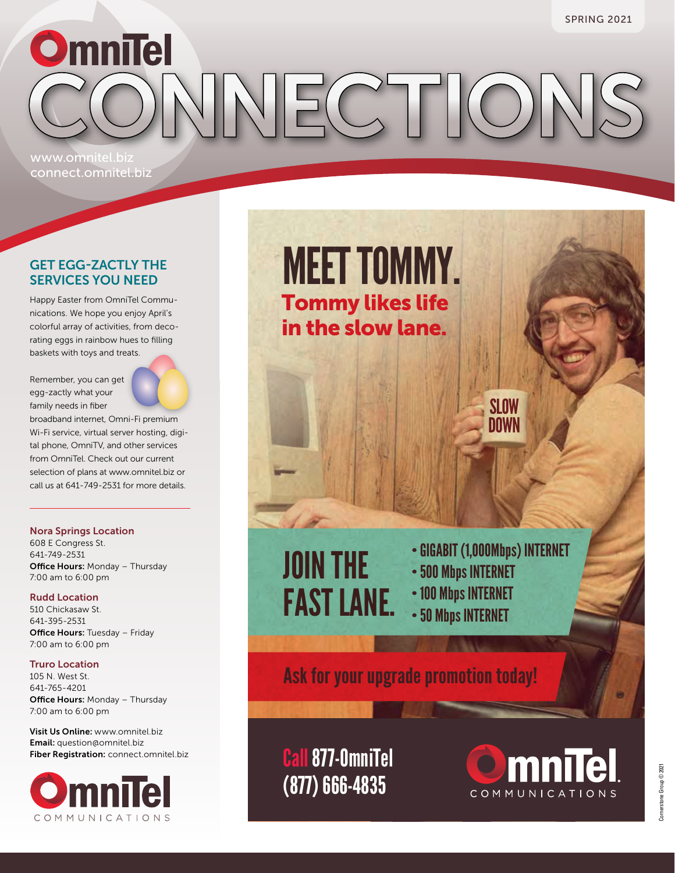OmniTel<br>CONNECTION www.omnitel.biz

## GET EGG-ZACTLY THE SERVICES YOU NEED

connect.omnitel.biz

Happy Easter from OmniTel Communications. We hope you enjoy April's colorful array of activities, from decorating eggs in rainbow hues to filling baskets with toys and treats.

Remember, you can get egg-zactly what your family needs in fiber



broadband internet, Omni-Fi premium Wi-Fi service, virtual server hosting, digital phone, OmniTV, and other services from OmniTel. Check out our current selection of plans at www.omnitel.biz or call us at 641-749-2531 for more details.

#### Nora Springs Location

608 E Congress St. 641-749-2531 **Office Hours: Monday - Thursday** 7:00 am to 6:00 pm

#### Rudd Location

510 Chickasaw St. 641-395-2531 **Office Hours: Tuesday - Friday** 7:00 am to 6:00 pm

#### Truro Location

105 N. West St. 641-765-4201 **Office Hours: Monday - Thursday** 7:00 am to 6:00 pm

Visit Us Online: www.omnitel.biz Email: question@omnitel.biz Fiber Registration: connect.omnitel.biz



**SLOW DOWN** MEET TOMMY. Tommy likes life in the slow lane. JOIN THE FAST LANE. •GIGABIT (1,000Mbps) INTERNET •500 Mbps INTERNET •100 Mbps INTERNET •50 Mbps INTERNET

Ask for your upgrade promotion today!

Call877-OmniTel (877) 666-4835

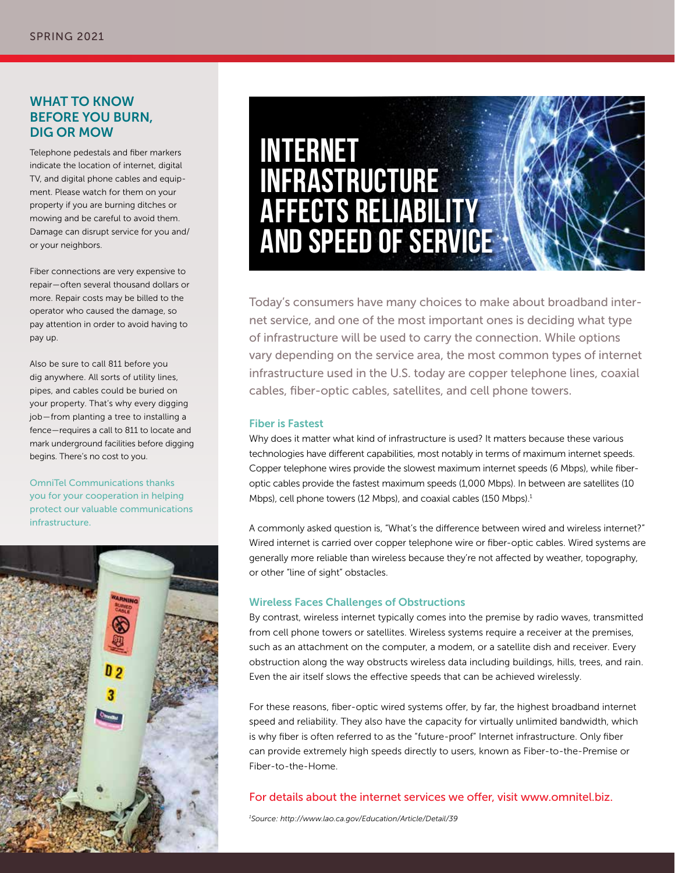### WHAT TO KNOW BEFORE YOU BURN, DIG OR MOW

Telephone pedestals and fiber markers indicate the location of internet, digital TV, and digital phone cables and equipment. Please watch for them on your property if you are burning ditches or mowing and be careful to avoid them. Damage can disrupt service for you and/ or your neighbors.

Fiber connections are very expensive to repair — often several thousand dollars or more. Repair costs may be billed to the operator who caused the damage, so pay attention in order to avoid having to pay up.

Also be sure to call 811 before you dig anywhere. All sorts of utility lines, pipes, and cables could be buried on your property. That's why every digging job — from planting a tree to installing a fence — requires a call to 811 to locate and mark underground facilities before digging begins. There's no cost to you.

OmniTel Communications thanks you for your cooperation in helping protect our valuable communications infrastructure.



## **INTERNET INFRASTRUCTURE AFFECTS RELIABILITY AND SPEED OF SERVICE**

Today's consumers have many choices to make about broadband internet service, and one of the most important ones is deciding what type of infrastructure will be used to carry the connection. While options vary depending on the service area, the most common types of internet infrastructure used in the U.S. today are copper telephone lines, coaxial cables, fiber-optic cables, satellites, and cell phone towers.

#### Fiber is Fastest

Why does it matter what kind of infrastructure is used? It matters because these various technologies have different capabilities, most notably in terms of maximum internet speeds. Copper telephone wires provide the slowest maximum internet speeds (6 Mbps), while fiberoptic cables provide the fastest maximum speeds (1,000 Mbps). In between are satellites (10 Mbps), cell phone towers (12 Mbps), and coaxial cables (150 Mbps). $1$ 

A commonly asked question is, "What's the difference between wired and wireless internet?" Wired internet is carried over copper telephone wire or fiber-optic cables. Wired systems are generally more reliable than wireless because they're not affected by weather, topography, or other "line of sight" obstacles.

#### Wireless Faces Challenges of Obstructions

By contrast, wireless internet typically comes into the premise by radio waves, transmitted from cell phone towers or satellites. Wireless systems require a receiver at the premises, such as an attachment on the computer, a modem, or a satellite dish and receiver. Every obstruction along the way obstructs wireless data including buildings, hills, trees, and rain. Even the air itself slows the effective speeds that can be achieved wirelessly.

For these reasons, fiber-optic wired systems offer, by far, the highest broadband internet speed and reliability. They also have the capacity for virtually unlimited bandwidth, which is why fiber is often referred to as the "future-proof" Internet infrastructure. Only fiber can provide extremely high speeds directly to users, known as Fiber-to-the-Premise or Fiber-to-the-Home.

#### For details about the internet services we offer, visit www.omnitel.biz.

*1 Source: http://www.lao.ca.gov/Education/Article/Detail/39*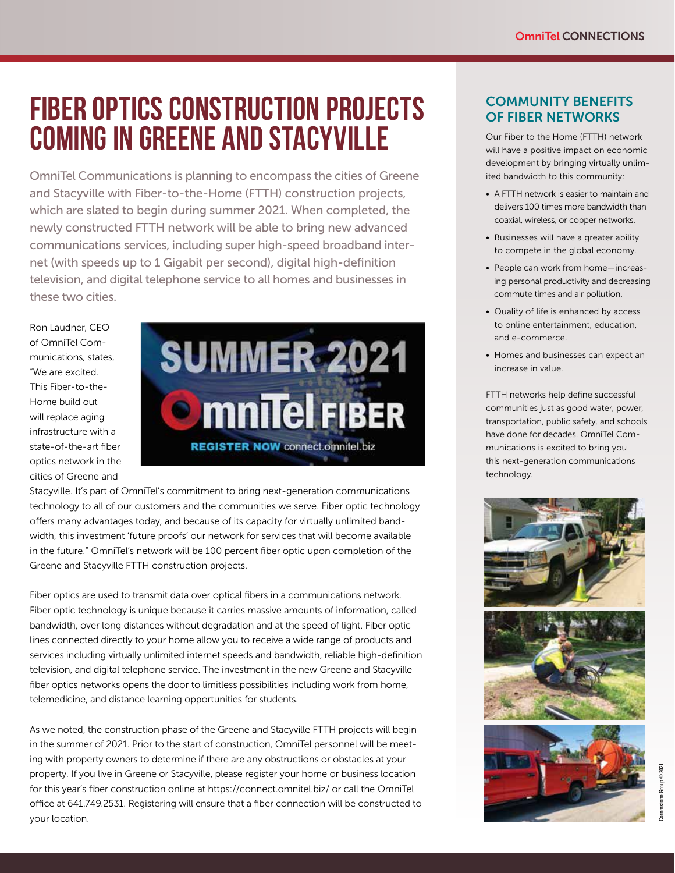## **FIBER OPTICS CONSTRUCTION PROJECTS COMING IN GREENE AND STACYVILLE**

OmniTel Communications is planning to encompass the cities of Greene and Stacyville with Fiber-to-the-Home (FTTH) construction projects, which are slated to begin during summer 2021. When completed, the newly constructed FTTH network will be able to bring new advanced communications services, including super high-speed broadband internet (with speeds up to 1 Gigabit per second), digital high-definition television, and digital telephone service to all homes and businesses in these two cities.

Ron Laudner, CEO of OmniTel Communications, states, "We are excited. This Fiber-to-the-Home build out will replace aging infrastructure with a state-of-the-art fiber optics network in the cities of Greene and



Stacyville. It's part of OmniTel's commitment to bring next-generation communications technology to all of our customers and the communities we serve. Fiber optic technology offers many advantages today, and because of its capacity for virtually unlimited bandwidth, this investment 'future proofs' our network for services that will become available in the future." OmniTel's network will be 100 percent fiber optic upon completion of the Greene and Stacyville FTTH construction projects.

Fiber optics are used to transmit data over optical fibers in a communications network. Fiber optic technology is unique because it carries massive amounts of information, called bandwidth, over long distances without degradation and at the speed of light. Fiber optic lines connected directly to your home allow you to receive a wide range of products and services including virtually unlimited internet speeds and bandwidth, reliable high-definition television, and digital telephone service. The investment in the new Greene and Stacyville fiber optics networks opens the door to limitless possibilities including work from home, telemedicine, and distance learning opportunities for students.

As we noted, the construction phase of the Greene and Stacyville FTTH projects will begin in the summer of 2021. Prior to the start of construction, OmniTel personnel will be meeting with property owners to determine if there are any obstructions or obstacles at your property. If you live in Greene or Stacyville, please register your home or business location for this year's fiber construction online at https://connect.omnitel.biz/ or call the OmniTel office at 641.749.2531. Registering will ensure that a fiber connection will be constructed to your location.

## COMMUNITY BENEFITS OF FIBER NETWORKS

Our Fiber to the Home (FTTH) network will have a positive impact on economic development by bringing virtually unlimited bandwidth to this community:

- A FTTH network is easier to maintain and delivers 100 times more bandwidth than coaxial, wireless, or copper networks.
- Businesses will have a greater ability to compete in the global economy.
- People can work from home-increasing personal productivity and decreasing commute times and air pollution.
- Quality of life is enhanced by access to online entertainment, education, and e-commerce.
- Homes and businesses can expect an increase in value.

FTTH networks help define successful communities just as good water, power, transportation, public safety, and schools have done for decades. OmniTel Communications is excited to bring you this next-generation communications technology.